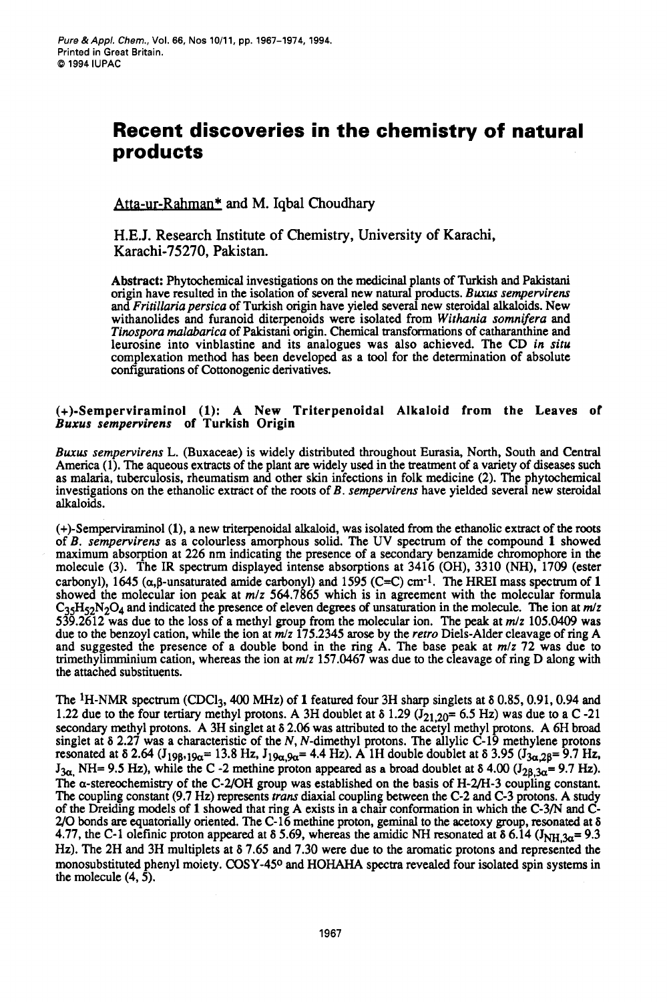# **Recent discoveries in the chemistry of natural products**

Atta-ur-Rahman\* and M. Iqbal Choudhary

**H.E.J.** Research Institute of Chemistry, University of Karachi, Karachi-75270, Pakistan.

**Abstract:** Phytochemical investigations on the medicinal plants of Turkish and Pakistani origin have resulted in the isolation of several new natural products. *Buxus sempervirens* and *Fririllaria persica* of Turkish origin have yieled several new steroidal alkaloids. New withanolides and furanoid diterpenoids were isolated from *Wirhania somnifera* and *Tinospora malabarica* of Pakistani origin. Chemical transfonnations of catharanthine and leurosine into vinblastine and its analogues was also achieved. The CD *in siru*  complexation method has been developed **as** a tool for the determination of absolute configurations of Cottonogenic derivatives.

### **(+)-Semperviraminol (1): A New Triterpenoidal Alkaloid from the Leaves of**  *Buxus sempervirens* **of Turkish Origin**

*Buxur sempervirens* L. (Buxaceae) is widely distributed throughout Eurasia, North, South and Central America **(1).** The aqueous extracts of the plant **are** widely used in the treatment of a variety of **diseases** such as malaria, tuberculosis, rheumatism and other skin infections in folk medicine **(2).** The phytochemical investigations on the ethanolic extract of the roots of B. *sempervirens* have yielded several new steroidal alkaloids.

(+)-Semperviraminol **(l),** a new triterpenoidal alkaloid, was isolated from the ethanolic extract of the **roots**  of B. *sempervirens* as a colourless amorphous solid. The UV spectrum of the compound **1** showed maximum absorption at **226** nm indicating the presence of a secondary benzamide chromophore in the molecule **(3).** The IR spectrum displayed intense absorptions at **3416 (OH), 3310 (NH), 1709** (ester carbonyl), 1645  $(\alpha, \beta$ -unsaturated amide carbonyl) and 1595  $(C=C)$  cm<sup>-1</sup>. The HREI mass spectrum of 1 showed the molecular ion peak at *mlz* **564.7865** which is in agreement with the molecular formula C35H52N204 and indicated the presence of eleven degrees *of* unsaturation in the molecule. The ion at *m/z*  **539.2612** was due to the loss of a methyl group from the molecular ion. The peak at *m/z* **105.0409** was due to the benzoyl cation, while the ion at *m/z* **175.2345** arose by the *rerro* Diels-Alder cleavage of ring A and suggested the presence of a double bond in the ring A. The base peak at *m/z* **72** was due to trimethylimminium cation, whereas the ion at *m/z* **157.0467** was due to the cleavage of ring D along with the attached substituents.

The 1H-NMR spectrum (CDC13,400 **MHz)** of 1 featured four **3H** sharp singlets at **6 0.85,0.91,0.94** and **1.22 due to the four tertiary methyl protons. A 3H doublet at**  $\delta$  **1.29**  $(J_{21,20}= 6.5 \text{ Hz})$  **was due to a C -21** secondary methyl protons. A **3H** singlet at **6 2.06** was attributed to the acetyl methyl protons. A 6H broad singlet at **6 2.27** was a characteristic of the *N,* N-dimethyl protons. The allylic **C-19** methylene protons resonated at  $\delta$  2.64  $(J_{198.19\alpha} = 13.8$  Hz,  $J_{19\alpha.9\alpha} = 4.4$  Hz). A 1H double doublet at  $\delta$  3.95  $(J_{3\alpha.28} = 9.7$  Hz,  $J_{3\alpha}$ , NH= 9.5 Hz), while the C -2 methine proton appeared as a broad doublet at  $\delta$  4.00  $(J_{2\beta,3\alpha}=$  9.7 Hz). The a-stereochemistry of the **C-UOH** group was established on the basis of **H-2/H-3** coupling constant. The coupling constant **(9.7 Hz)** represents *trans* diaxial coupling between the **C-2** and C-3 protons. A study of the Dreiding models of **1** showed that ring A exists in a chair conformation in which the **C-3/N** and C-*2/0* bonds are equatorially oriented. The **C-16** methine proton, geminal to the acetoxy group, resonated at **<sup>6</sup> 4.77, the C-1 olefinic proton appeared at**  $\delta$  **5.69, whereas the amidic NH resonated at**  $\delta$  **6.14**  $(I_{\text{NH.3a}} = 9.3$ **Hz).** The **2H** and **3H** multiplets at **6 7.65** and **7.30** were due to the aromatic protons and represented the monosubstituted phenyl moiety. **COSY-450** and **HOHAHA** spectra revealed four isolated spin systems in the molecule  $(4, 5)$ .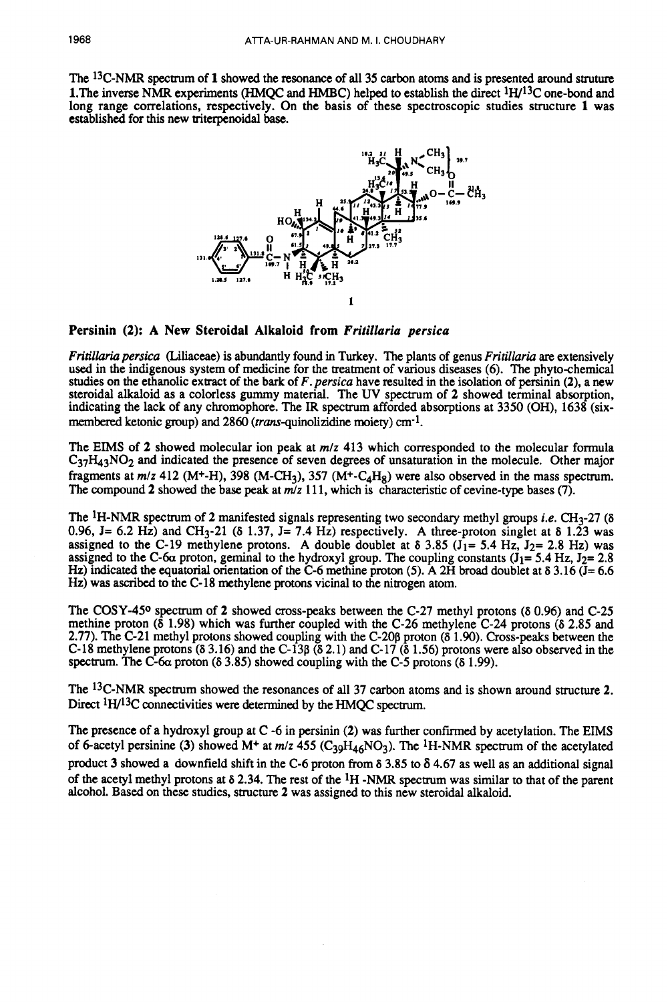The <sup>13</sup>C-NMR spectrum of 1 showed the resonance of all 35 carbon atoms and is presented around struture 1.The inverse **NMR** experiments **(HMQC** and **HMBC)** helped to establish the direct **1W13C** one-bond and long range correlations, respectively. On the basis of these spectroscopic studies structure 1 was established for this new uiterpenoidal base.



**Persinin (2): A New Steroidal Alkaloid from** *Fritillaria persica* 

*Fritilhria persicu* (Liliaceae) is abundantly found in Turkey. The plants of genus *Fritillaria* are extensively used in the indigenous system of medicine for the treatment of various diseases (6). The phyto-chemical studies on the ethanolic extract of the bark of *F. persicu* have resulted in the isolation of persinin **(2).** a new steroidal alkaloid as a colorless gummy material. The UV spectrum of **2** showed terminal absorption, indicating the lack of any chrotmphore. The **IR** spectrum afforded absorptions at **3350 (OH), 1638** (sixmembered ketonic group) and 2860 (*trans*-quinolizidine moiety) cm<sup>-1</sup>.

The **EIMS** of **2** showed molecular ion peak at *m/z* **413** which corresponded to the molecular formula C<sub>37</sub>H<sub>43</sub>NO<sub>2</sub> and indicated the presence of seven degrees of unsaturation in the molecule. Other major fragments at  $m/z$  412 (M<sup>+</sup>-H), 398 (M-CH<sub>3</sub>), 357 (M<sup>+</sup>-C<sub>4</sub>H<sub>8</sub>) were also observed in the mass spectrum. The compound **2** showed the base peak at *mlz* **11 1,** which is characteristic of cevine-type bases **(7).** 

The **IH-NMR** spectrum of **2** manifested signals representing two secondary methyl groups *i.e.* **(333-27** *(6*  **0.96, J= 6.2** *Hz)* and **CH3-21 (6 1.37, J= 7.4 Hz)** respectively. **A** three-proton singlet at **6 1.23** was assigned to the C-19 methylene protons. A double doublet at  $\delta$  3.85 (J<sub>1</sub>= 5.4 Hz, J<sub>2</sub>= 2.8 Hz) was assigned to the C-6 $\alpha$  proton, geminal to the hydroxyl group. The coupling constants  $(J_1 = 5.4 \text{ Hz}, J_2 = 2.8 \text{ Hz})$ *Hz)* indicated the equatorial orientation of the **C-6** methine proton **(5).** A **2H** broad doublet at **6 3.16 (J= 6.6 Hz)** was ascribed to the **C- 18** methylene **protons** vicinal to the nitrogen atom.

The **COSY-450** spectrum of **2** showed cross-peaks between the **C-27** methyl protons **(6 0.96)** and **C-25**  methine proton **(6 1.98)** which was further coupled with the **C-26** methylene **C-24** protons (6 **2.85** and **2.77).** The **C-21** methyl protons showed coupling with the **C-20p** proton **(6 1.90). Cross-peaks** between the **C-18** methylene protons **(6 3.16)** and the **C-13p** (6 **2.1)** and **(2-17 (6 1.56)** protons were also observed in the spectrum. The **C-6a** proton **(6 3.85)** showed coupling with the **C-5** protons **(6 1.99).** 

The <sup>13</sup>C-NMR spectrum showed the resonances of all 37 carbon atoms and is shown around structure 2. Direct **1H/13C** connectivities were determined by the **HMQC** spectrum.

The presence of a hydroxyl group at **C -6** in persinin **(2)** was further confmed by acetylation. The **EIMS**  of 6-acetyl persinine (3) showed  $M^+$  at  $m/z$  455 (C<sub>39</sub>H<sub>46</sub>NO<sub>3</sub>). The <sup>1</sup>H-NMR spectrum of the acetylated product 3 showed **a** downfield shift in the **C-6** proton from **6 3.85** to **6 4.67** as well as an additional signal of the acetyl methyl protons at 6 **2.34.** The rest of the **IH -NMR** spectrum was similar to that of the parent alcohol. Based on these studies, structure **2** was assigned to this new steroidal alkaloid.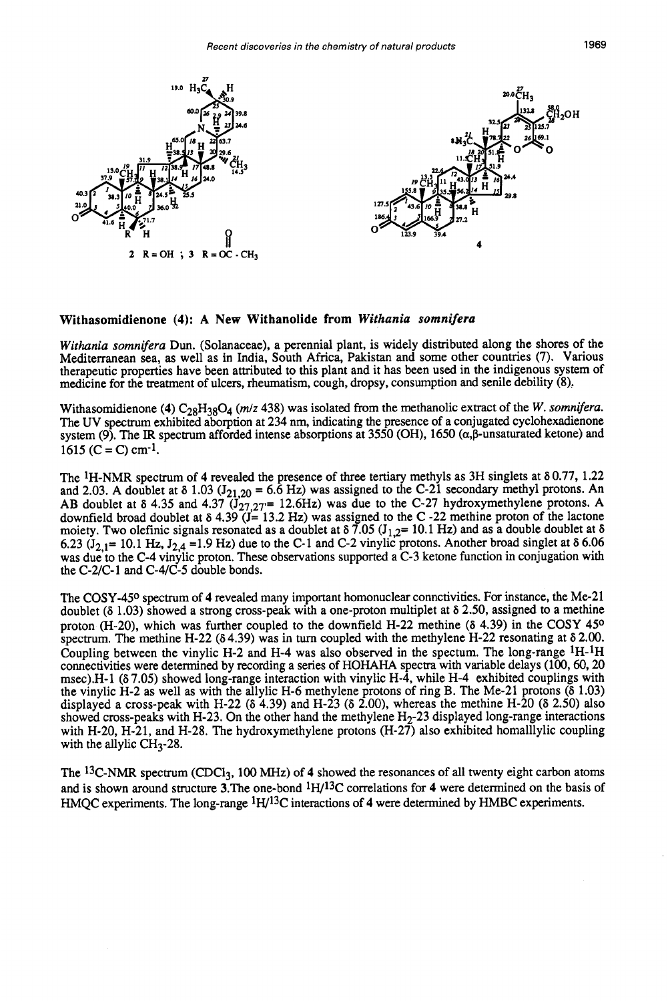

#### **Withasomidienone (4): A New Withanolide from** *Withania somnifera*

Withania somnifera Dun. (Solanaceae), a perennial plant, is widely distributed along the shores of the Mediterranean sea, as well as in India, South Africa, Pakistan and some other countries (7). Various therapeutic properties have been attributed to this plant and it has been used in the indigenous system of medicine for the treatment of ulcers, rheumatism, cough, dropsy, consumption and senile debility **(8),** 

Withasomidienone **(4)**  $C_{28}H_{38}O_4$  *(m/z* 438) was isolated from the methanolic extract of the *W. somnifera.* The UV spectrum exhibited aborption at 234 nm, indicating the presence of a conjugated cyclohexadienone system (9). The IR spectrum afforded intense absorptions at 3550 (OH), 1650 ( $\alpha$ , $\beta$ -unsaturated ketone) and  $1615$  (C = C) cm<sup>-1</sup>.

The 1H-NMR spectrum of **4** revealed the presence of three tertiary methyls as 3H singlets at 6 0.77, 1.22 and 2.03. A doublet at  $\delta$  1.03 (J<sub>21.20</sub> = 6.6 Hz) was assigned to the C-21 secondary methyl protons. An AB doublet at  $\delta$  4.35 and 4.37  $(J_{27,27}= 12.6$ Hz) was due to the C-27 hydroxymethylene protons. A downfield broad doublet at  $\delta$  4.39 (J= 13.2 Hz) was assigned to the C -22 methine proton of the lactone moiety. Two olefinic signals resonated as a doublet at  $\delta$  7.05 (J<sub>1,2</sub>= 10.1 Hz) and as a double doublet at  $\delta$ 6.23 ( $J_{2,1}$ = 10.1 Hz,  $J_{2,4}$  =1.9 Hz) due to the C-1 and C-2 vinylic protons. Another broad singlet at  $\delta$  6.06 was due to the C-4 vinylic proton. These observations supported a C-3 ketone function in conjugation with the  $C-2/C-1$  and  $C-4/C-5$  double bonds.

The COSY-450 spectrum of **4** revealed many important homonuclear connctivities. For instance, the Me-21 doublet  $(6\ 1.03)$  showed a strong cross-peak with a one-proton multiplet at  $\delta$  2.50, assigned to a methine proton (H-20), which was further coupled to the downfield H-22 methine ( $\delta$  4.39) in the COSY 45<sup>o</sup> spectrum. The methine H-22 ( $\delta$ 4.39) was in turn coupled with the methylene H-22 resonating at  $\delta$  2.00. Coupling between the vinylic H-2 and H-4 was also observed in the spectum. The long-range <sup>1</sup>H-<sup>1</sup>H connectivities were determined by recording a series of HOHAHA spectra with variable delays (100,60,20 msec).H-1 (6 7.05) showed long-range interaction with vinylic H-4, while H-4 exhibited couplings with the vinylic H-2 as well as with the allylic H-6 methylene protons of ring B. The Me-21 protons (6 1.03) displayed a cross-peak with H-22 ( $\delta$  4.39) and H-23 ( $\delta$  2.00), whereas the methine H-20 ( $\delta$  2.50) also showed cross-peaks with H-23. On the other hand the methylene  $H<sub>2</sub>$ -23 displayed long-range interactions with H-20, H-21, and H-28. The hydroxymethylene protons (H-27) also exhibited homallylic coupling with the allylic  $CH<sub>3</sub>$ -28.

The <sup>13</sup>C-NMR spectrum (CDCl<sub>3</sub>, 100 MHz) of 4 showed the resonances of all twenty eight carbon atoms and is shown around structure 3.The one-bond 1H/13C correlations for **4** were determined on the basis of HMQC experiments. The long-range 1W13C interactions of **4** were determined by HMBC experiments.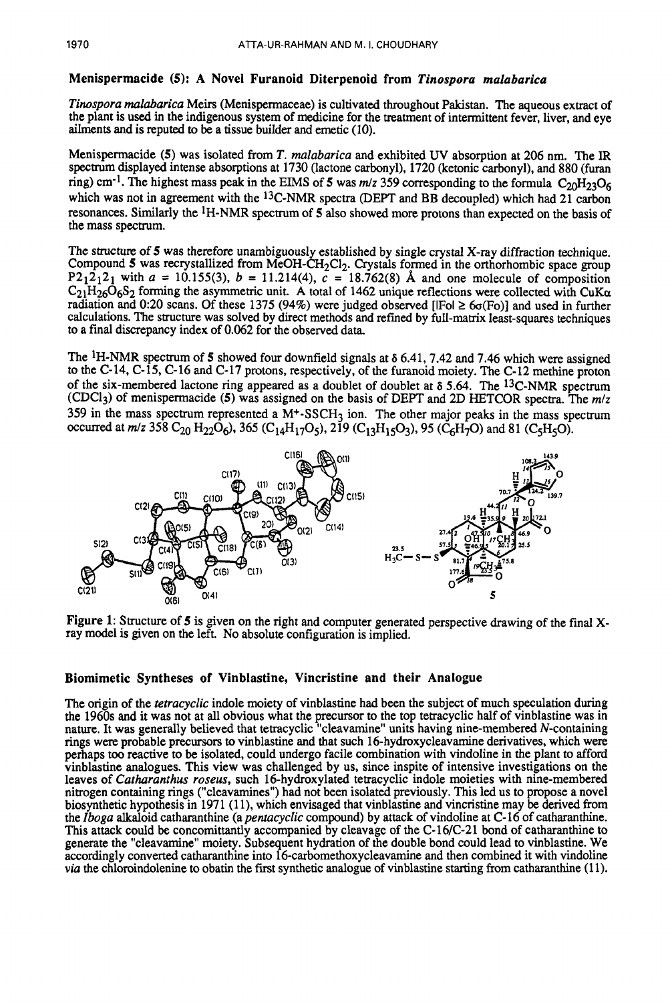# **Menispermacide (5): A Novel Furanoid Diterpenoid from** *Tinospora malabarica*

*Tinospora malabarica* Meirs (Menispermaceae) is cultivated throughout Pakistan. The aqueous extract of the plant is used in the indigenous system of medicine for the treatment of intermittent fever, liver, and eye ailments and is reputed to be a tissue builder and emetic (10).

Menispermacide **(5)** was isolated from *T. malabarica* and exhibited UV absorption at 206 nm. The IR spectrum displayed intense absorptions at 1730 (lactone carbonyl), 1720 (ketonic carbonyl), and 880 (furan ring) cm<sup>-1</sup>. The highest mass peak in the EIMS of 5 was  $m/z$  359 corresponding to the formula  $C_{20}H_{23}O_6$ which was not in agreement with the <sup>13</sup>C-NMR spectra (DEPT and BB decoupled) which had 21 carbon resonances. Similarly the IH-NMR spectrum of **5** also showed more protons than expected on the basis of the mass spectrum.

The structure of **5** was therefore unambiguously established by single crystal X-ray diffraction technique. Compound 5 was recrystallized from MeOH-CH<sub>2</sub>Cl<sub>2</sub>. Crystals formed in the orthorhombic space group P2<sub>1</sub>2<sub>1</sub>2<sub>1</sub> with  $a = 10.155(3)$ ,  $b = 11.214(4)$ ,  $c = 18.762(8)$  Å and one molecule of composition  $C_{21}H_{26}O_6S_2$  forming the asymmetric unit. A total of 1462 unique reflections were collected with CuK $\alpha$ radiation and 0:20 scans. Of these 1375 (94%) were judged observed [ $|F$ ol  $\geq 6$  $\sigma$ (Fo)] and used in further calculations. The structure was solved by direct methods and refined by full-matrix least-squares techniques to a final discrepancy index of 0.062 for the observed data.

The 1H-NMR spectrum of **5** showed four downfield signals at **6** 6.41,7.42 and 7.46 which were assigned to the C-14, C-15, C-16 and C-17 protons, respectively, of the furanoid moiety. The C-12 methine proton of the six-membered lactone ring appeared as a doublet of doublet at *6 5.64.* The l3C-NMR spectrum (CDCl<sub>3</sub>) of menispermacide (5) was assigned on the basis of DEPT and 2D HETCOR spectra. The  $m/z$ 359 in the mass spectrum represented a  $M<sup>+</sup>$ -SSCH<sub>3</sub> ion. The other major peaks in the mass spectrum occurred at *m/z* 358 C<sub>20</sub> H<sub>22</sub>O<sub>6</sub>), 365 (C<sub>14</sub>H<sub>17</sub>O<sub>5</sub>), 219 (C<sub>13</sub>H<sub>15</sub>O<sub>3</sub>), 95 (C<sub>6</sub>H<sub>7</sub>O) and 81 (C<sub>5</sub>H<sub>5</sub>O).



**Figure 1:** Structure of **5** is given on the right and computer generated perspective drawing of the final Xray model is given on the left. No absolute configuration is implied.

# **Biomimetic Syntheses of Vinblastine, Vincristine and their Analogue**

The origin of the *rerracyclic* indole moiety of vinblastine had been the subject of much speculation during the 1960s and it was not at all obvious what the precursor to the top tetracyclic half of vinblastine was in nature. It was generally believed that tetracyclic "cleavamine" units having nine-membered N-containing rings were probable precursors to vinblastine and that such 16-hydroxycleavamine derivatives, which were perhaps too reactive to be isolated, could undergo facile combination with vindoline in the plant to afford vinblastine analogues. This view was challenged by us, since inspite of intensive investigations on the leaves of *Carharanthus roseus,* such 16-hydroxylated tetracyclic indole moieties with nine-membered nitrogen containing rings ("cleavamines") had not been isolated previously. This led us to propose a novel biosynthetic hypothesis in 1971 (11), which envisaged that vinblastine and vincristine may be derived from the *Zboga* alkaloid catharanthine (a *pentacyclic* compound) by attack of vindoline at C- 16 of catharanthine. This attack could be concomittantly accompanied by cleavage of the  $C-16/C-21$  bond of catharanthine to generate the "cleavamine" moiety. Subsequent hydration of the double bond could lead to vinblastine. We accordingly converted catharanthine into **16-carbomethoxycleavamine** and then combined it with vindoline *via* the chloroindolenine to obatin the first synthetic analogue of vinblastine starting from catharanthine (11).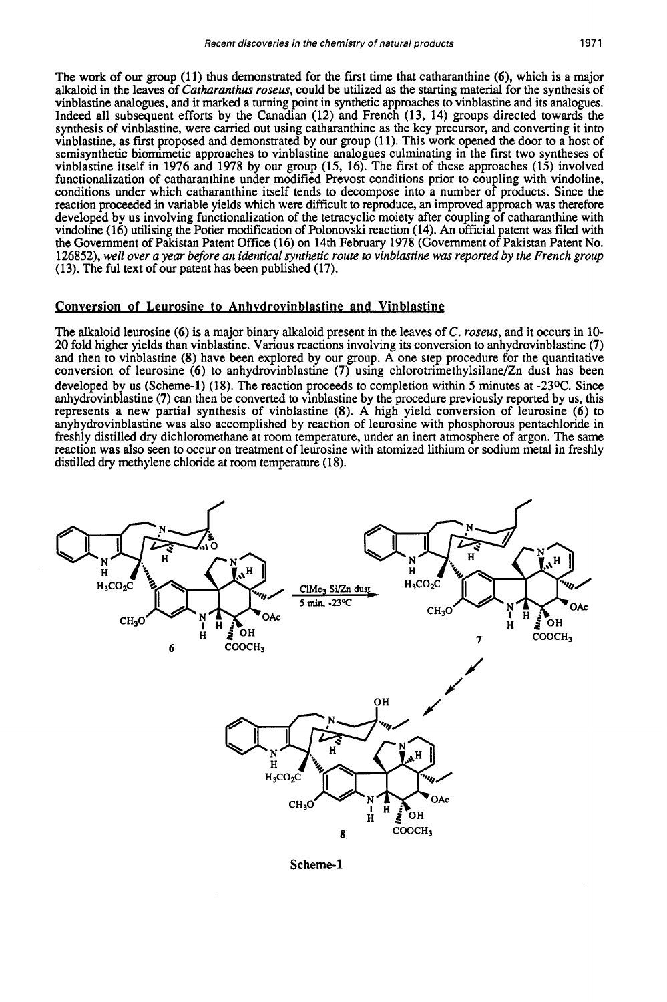The work of our group (1 1) thus demonstrated for the first time that catharanthine *(a),* which is a major alkaloid in the leaves of *Cutharunthus roseus,* could be utilized as the starting material for the synthesis of vinblastine analogues, and it marked a turning point in synthetic approaches to vinblastine and its analogues. Indeed all subsequent efforts by the Canadian (12) and French (13, 14) groups directed towards the synthesis of vinblastine, were carried out using catharanthine as the key precursor, and converting it into vinblastine, **as** first proposed and demonstrated by our group (1 1). This work opened the door to a host of semisynthetic biomimetic approaches to vinblastine analogues culminating in the first two syntheses of vinblastine itself in 1976 and 1978 by our group (15, 16). The first of these approaches (15) involved functionalization of catharanthine under modified Prevost conditions prior to coupling with vindoline, conditions under which catharanthine itself tends to decompose into a number of products. Since the reaction proceeded in variable yields which were difficult to reproduce, an improved approach was therefore developed by us involving functionalization of the tetracyclic moiety after coupling of catharanthine with vindoline (16) utilising the Potier modification of Polonovski reaction (14). An official patent was filed with the Government of Pakistan Patent Office (16) on **14th** February 1978 (Government of Pakistan Patent No. 126852), *well over a year before an identical synthetic route to vinblastine was reported by the French group*  (13). The ful text of our patent has been published (17).

#### Conversion **of** Leurosine **to** Anhvdrovinblastine and Vinblastipf:

The alkaloid leurosine *(6)* is a major binary alkaloid present in the leaves of C. *roseus,* and it occurs in 10- 20 fold higher yields than vinblastine. Various reactions involving its conversion to anhydrovinblastine **(7)**  and then to vinblastine  $(8)$  have been explored by our group. A one step procedure for the quantitative conversion of leurosine *(6)* to anhydrovinblastine **(7)** using **chlorotrimethylsilane/Zn** dust has been developed by us (Scheme-1) (18). The reaction proceeds to completion within **5** minutes at -23OC. Since anhydrovinblastine **(7)** can then be converted to vinblastine by the procedure previously reported by us, this represents a new partial synthesis of vinblastine (8). A high yield conversion of leurosine *(6)* to anyhydrovinblastine was also accomplished by reaction of leurosine with phosphorous pentachloride in freshly distilled *dry* dichloromethane at room temperature, under an inert atmosphere of argon. The same reaction was also seen to occur on treatment of leurosine with atomized lithium or sodium metal in freshly distilled *dry* methylene chloride at room temperature (18).



Scheme-1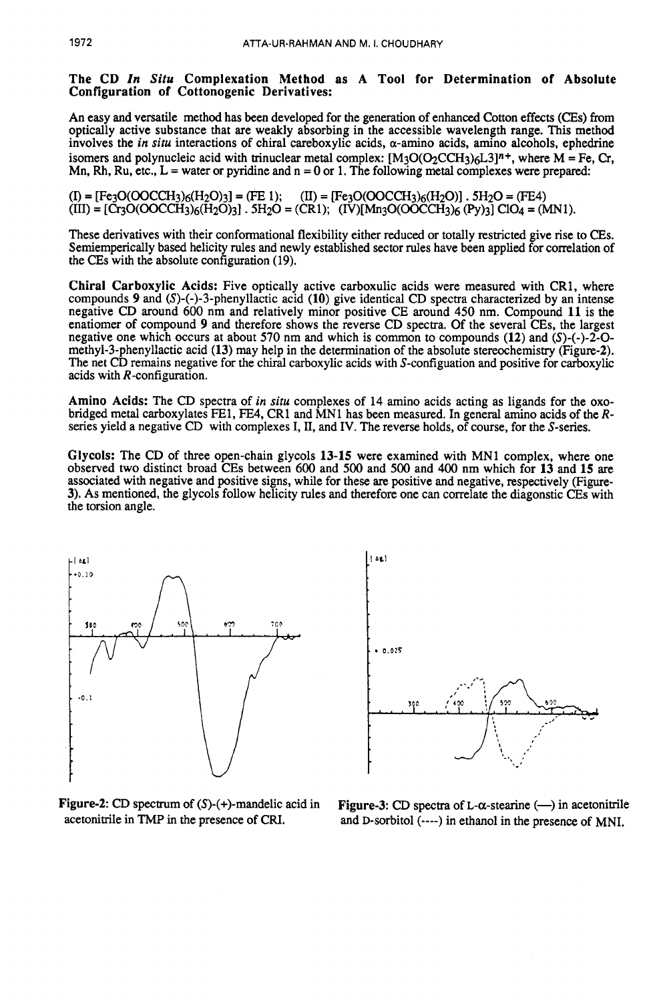### The CD *In Situ* Complexation Method as A Tool for Determination of Absolute Configuration of Cottonogenic Derivatives:

An easy and versatile method has been developed for the generation of enhanced Cotton effects **(CEs)** from optically active substance that are weakly absorbing in the accessible wavelength range. This method involves the *in situ* interactions of chiral careboxylic acids,  $\alpha$ -amino acids, amino alcohols, ephedrine isomers and polynucleic acid with trinuclear metal complex:  $[M_3O(O_2CCH_3)\epsilon L_3]^n$ <sup>+</sup>, where M = Fe, Cr, Mn, Rh, Ru, etc.,  $L =$  water or pyridine and  $n = 0$  or 1. The following metal complexes were prepared:

 $(1)$  = [Fe3O(OOCCH3)<sub>6</sub>(H<sub>2</sub>O)<sub>3</sub>] = (FE 1);  $(II)$  = [Fe3O(OOCCH3)<sub>6</sub>(H<sub>2</sub>O)]  $.$  5H<sub>2</sub>O = (FE4)  $(HI) = [C_{13}O(OOCCH_3)_{6}(H_2O_3)]$ . 5H<sub>2</sub>O = (CR1); (IV)[Mn<sub>3</sub>O(OOCCH<sub>3</sub>)<sub>6</sub> (Py)<sub>3</sub>] ClO<sub>4</sub> = (MN1).

These derivatives with their conformational flexibility either reduced or totally restricted give rise to **CEs.**  Semiemperically based helicity rules and newly established sector rules have been applied for correlation of the CEs with the absolute configuration (19).

Chiral Carboxylic Acids: Five optically active carboxulic acids were measured with CR1, where compounds *9* and (S)-(-)-3-phenyllactic acid (10) give identical CD spectra characterized by an intense negative CD around 600 nm and relatively minor positive CE around **450** nm. Compound 11 is the enatiomer of compound *9* and therefore shows the reverse CD spectra. Of the several CEs, the largest negative one which occurs at about 570 nm and which is common to compounds (12) and **(S)-(-)-2-0**  methyl-3-phenyllactic acid (13) may help in the determination of the absolute stereochemistry (Figure-2). The net CD remains negative for the chiral carboxylic acids with S-configuation and positive for carboxylic acids with R-configuration.

Amino Acids: The CD spectra of in *siru* complexes of 14 amino acids acting as ligands for the oxobridged metal carboxylates FE1, FE4, CR1 and MN1 has been measured. In general amino acids of the Rseries yield a negative CD with complexes I, **XI,** and IV. The reverse holds, of course, for the S-series.

Glycols: The CD of three open-chain glycols 13-15 were examined with MN1 complex, where one observed two distinct broad CEs between 600 and 500 and 500 and 400 nm which for 13 and 15 are associated with negative and positive signs, while for these are positive and negative, respectively (Figure-3). As mentioned, the glycols follow helicity rules and therefore one can correlate the diagonstic **CEs** with the torsion angle.





Figure-2: CD spectrum of (S)-(+)-mandelic acid in Figure-3: CD spectra of L- $\alpha$ -stearine (--) in acetonitrile acetonitrile in TMP in the presence of CRI. and D-sorbitol (----) in ethanol in the presence of MNI and D-sorbitol (----) in ethanol in the presence of MNI.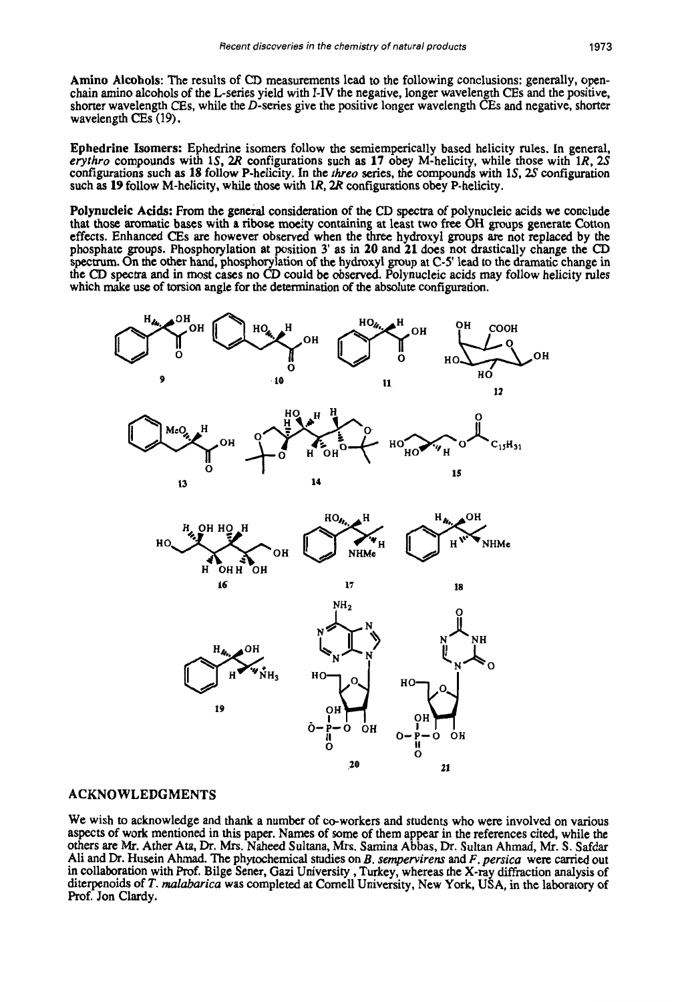**Amino Alcohols:** The results of *CD* measurements lead to the following conclusions: generally, openchain amino alcohols of the L-series yield with I-IV the negative, longer wavelength CEs and the positive, shorter wavelength **CEs,** while the D-series give the positive longer wavelength CEs and negative, shorter wavelength **CEs** (19).

**Ephedrine Isomers:** Ephedrine isomers follow the semiemperically based helicity rules. In general, *eryrhro* compounds with lS, **2R** configurations such as **17** obey M-helicity, while those with lR, **2S**  configurations such **as 18** follow P-helicity. In the *rhreo* series, the compounds with **lS,** *2s* configuration such **as 19** follow M-helicity, while those with lR, **2R** configurations obey P-helicity.

**Polynucleic Acids:** From the general consideration of the CD spectra of polynucleic acids we conclude that those aromatic bases with **a ribose** moeity containing at least two free OH groups generate Cotton effects. Enhanced **CEs are** however observed when the three hydroxyl groups are not replaced by the phosphate groups. Phosphorylation at position 3' as in **20** and **21** does not drastically change the *CD*  **spectrum.** On the other hand, phosphorylation of the hydroxyl group at C-5' lead to the dramatic change in the CD spectra and in most cases no CD could be observed. Polynucleic acids may follow helicity rules Polynucleic Acids: From the general consideration of the CD spectra of polynucleic acids we conclude<br>that those aromatic bases with a ribose moeity containing at least two free OH groups generate Cotton<br>effects. Enhanced



### **ACKNOWLEDGMENTS**

We wish to acknowledge and thank a number of co-workers and students who were involved on various aspects of work mentioned in this paper. Names of some of them appear in the references cited, while the others are *Mr.* Ather Ata, **Dr. Mrs.** Naheed Sultana, **Mrs.** Samina Abbas, Dr. Sultan Ahmad, *Mr.* **S.** *Safdar*  Ali and Dr. Husein Ahmad. The phytochemical studies on B. *sempervirens* and *F. persica* were carried out in collaboration with Prof. Bilge Sener, Gazi University , Turkey, whereas the X-ray diffraction analysis of diterpenoids of *T.* **malabarica** was completed at Cornell University, New York, USA, in the laboratory of Prof. Jon Clardy.